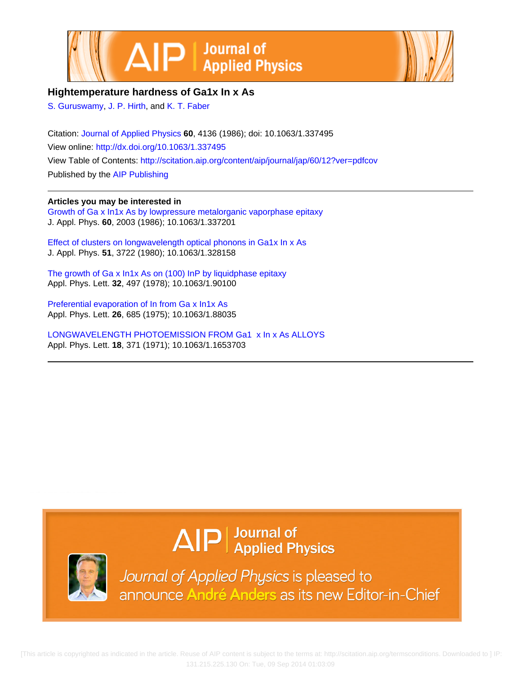



### **Hightemperature hardness of Ga1x In x As**

[S. Guruswamy](http://scitation.aip.org/search?value1=S.+Guruswamy&option1=author), [J. P. Hirth,](http://scitation.aip.org/search?value1=J.+P.+Hirth&option1=author) and [K. T. Faber](http://scitation.aip.org/search?value1=K.+T.+Faber&option1=author)

Citation: [Journal of Applied Physics](http://scitation.aip.org/content/aip/journal/jap?ver=pdfcov) **60**, 4136 (1986); doi: 10.1063/1.337495 View online: <http://dx.doi.org/10.1063/1.337495> View Table of Contents: <http://scitation.aip.org/content/aip/journal/jap/60/12?ver=pdfcov> Published by the [AIP Publishing](http://scitation.aip.org/content/aip?ver=pdfcov)

**Articles you may be interested in**

[Growth of Ga x In1x As by lowpressure metalorganic vaporphase epitaxy](http://scitation.aip.org/content/aip/journal/jap/60/6/10.1063/1.337201?ver=pdfcov) J. Appl. Phys. **60**, 2003 (1986); 10.1063/1.337201

[Effect of clusters on longwavelength optical phonons in Ga1x In x As](http://scitation.aip.org/content/aip/journal/jap/51/7/10.1063/1.328158?ver=pdfcov) J. Appl. Phys. **51**, 3722 (1980); 10.1063/1.328158

[The growth of Ga x In1x As on \(100\) InP by liquidphase epitaxy](http://scitation.aip.org/content/aip/journal/apl/32/8/10.1063/1.90100?ver=pdfcov) Appl. Phys. Lett. **32**, 497 (1978); 10.1063/1.90100

[Preferential evaporation of In from Ga x In1x As](http://scitation.aip.org/content/aip/journal/apl/26/12/10.1063/1.88035?ver=pdfcov) Appl. Phys. Lett. **26**, 685 (1975); 10.1063/1.88035

[LONGWAVELENGTH PHOTOEMISSION FROM Ga1 x In x As ALLOYS](http://scitation.aip.org/content/aip/journal/apl/18/9/10.1063/1.1653703?ver=pdfcov) Appl. Phys. Lett. **18**, 371 (1971); 10.1063/1.1653703

# $\Delta$   $\vert P \vert$  Journal of Applied Physics



Journal of Applied Physics is pleased to announce André Anders as its new Editor-in-Chief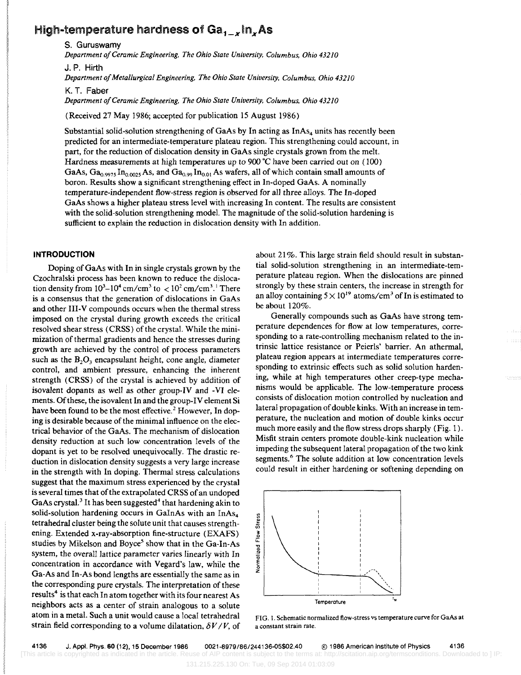## High-temperature hardness of  $Ga_{1-x}$ In, As

s. Guruswamy

*Department o/Ceramic Engineering. The Ohio State University. Columbus. Ohio 43210*  J. P. Hirth

*Department 0/ Metallurgical Engineering. The Ohio State University. Columbus. Ohio 43210* 

K. T. Faber

*Department o/Ceramic Engineering. The Ohio State University. Columbus. Ohio 43210* 

(Received 27 May 1986; accepted for publication 15 August 1986)

Substantial solid-solution strengthening of GaAs by In acting as  $InAs<sub>4</sub>$  units has recently been predicted for an intermediate-temperature plateau region. This strengthening could account, in part, for the reduction of dislocation density in GaAs single crystals grown from the melt. Hardness measurements at high temperatures up to 900 °C have been carried out on (100) GaAs,  $Ga_{0.9975}$  In<sub>0.0025</sub> As, and  $Ga_{0.99}$  In<sub>0.01</sub> As wafers, all of which contain small amounts of boron. Results show a significant strengthening effect in In-doped GaAs. A nominally temperature-independent flow-stress region is observed for all three alloys. The In-doped GaAs shows a higher plateau stress level with increasing In content. The results are consistent with the solid-solution strengthening model. The magnitude of the solid-solution hardening is sufficient to explain the reduction in dislocation density with In addition.

#### **INTRODUCTION**

Doping of GaAs with In in single crystals grown by the Czochralski process has been known to reduce the dislocation density from  $10^3 - 10^4$  cm/cm<sup>3</sup> to  $\lt 10^2$  cm/cm<sup>3</sup>.<sup>1</sup> There is a consensus that the generation of dislocations in GaAs and other III-V compounds occurs when the thermal stress imposed on the crystal during growth exceeds the critical resolved shear stress (CRSS) of the crystal. While the minimization of thermal gradients and hence the stresses during growth are achieved by the control of process parameters such as the  $B_2O_3$  encapsulant height, cone angle, diameter control, and ambient pressure, enhancing the inherent strength (CRSS) of the crystal is achieved by addition of isovalent dopants as well as other group-IV and -VI elements. Of these, the isovalent In and the group-IV element Si have been found to be the most effective.<sup>2</sup> However, In doping is desirable because of the minimal influence on the electrical behavior of the GaAs. The mechanism of dislocation density reduction at such low concentration levels of the dopant is yet to be resolved unequivocally. The drastic reduction in dislocation density suggests a very large increase in the strength with In doping. Thermal stress calculations suggest that the maximum stress experienced by the crystal is several times that of the extrapolated CRSS of an undoped GaAs crystal.<sup>3</sup> It has been suggested<sup>4</sup> that hardening akin to solid-solution hardening occurs in GaInAs with an InAs<sub>4</sub> tetrahedral cluster being the solute unit that causes strengthening, Extended x-ray-absorption fine-structure (EXAFS) studies by Mikelson and Boyce<sup>5</sup> show that in the Ga-In-As system, the overall lattice parameter varies linearly with In concentration in accordance with Vegard's law, while the Ga-As and In-As bond lengths are essentially the same as in the corresponding pure crystals. The interpretation of these results<sup>4</sup> is that each In atom together with its four nearest As neighbors acts as a center of strain analogous to a solute atom in a metal. Such a unit would cause a local tetrahedral strain field corresponding to a volume dilatation,  $\delta V / V$ , of

about 21%. This large strain field should result in substantial solid-solution strengthening in an intermediate-temperature plateau region. When the dislocations are pinned strongly by these strain centers, the increase in strength for an alloy containing  $5 \times 10^{19}$  atoms/cm<sup>3</sup> of In is estimated to be about 120%.

Generally compounds such as GaAs have strong temperature dependences for flow at low temperatures, corresponding to a rate-controlling mechanism related to the intrinsic lattice resistance or Peierls' barrier. An athermal, plateau region appears at intermediate temperatures corresponding to extrinsic effects such as solid solution hardening, while at high temperatures other creep-type mechanisms would be applicable. The low-temperature process consists of dislocation motion controlled by nucleation and lateral propagation of double kinks. With an increase in temperature, the nucleation and motion of double kinks occur much more easily and the flow stress drops sharply (Fig. 1). Misfit strain centers promote double-kink nucleation while impeding the subsequent lateral. propagation of the two kink segments.<sup>6</sup> The solute addition at low concentration levels could result in either hardening or softening depending on



FIG. 1. Schematic normalized flow·stress vs temperature curve for GaAs at a constant strain rate.

131.215.225.130 On: Tue, 09 Sep 2014 01:03:09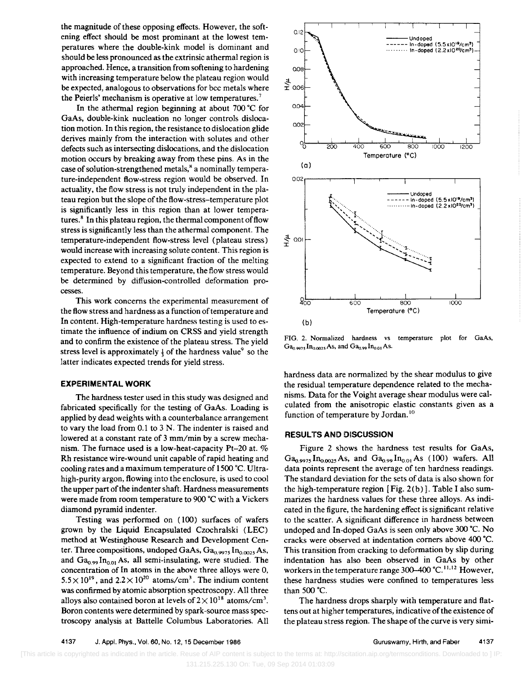the magnitude of these opposing effects. However, the softening effect should be most prominant at the lowest temperatures where the double-kink model is dominant and should be less pronounced as the extrinsic athermal region is approached. Hence, a transition from softening to hardening with increasing temperature below the plateau region would be expected, analogous to observations for bcc metals where the Peierls' mechanism is operative at low temperatures. 7

In the athermal region beginning at about 700·C for GaAs, double-kink nucleation no longer controls dislocation motion. In this region, the resistance to dislocation glide derives mainly from the interaction with solutes and other defects such as intersecting dislocations, and the dislocation motion occurs by breaking away from these pins. As in the case of solution-strengthened metals,<sup>8</sup> a nominally temperature-independent flow-stress region would be observed. In actuality, the flow stress is not truly independent in the plateau region but the slope of the flow-stress-temperature plot is significantly less in this region than at lower temperatures.<sup>8</sup> In this plateau region, the thermal component of flow stress is significantly less than the athermal component. The temperature-independent flow-stress level (plateau stress) would increase with increasing solute content. This region is expected to extend to a significant fraction of the melting temperature. Beyond this temperature, the flow stress would be determined by diffusion-controlled deformation processes.

This work concerns the experimental measurement of the flow stress and hardness as a function of temperature and In content. High-temperature hardness testing is used to estimate the influence of indium on CRSS and yield strength and to confirm the existence of the plateau stress. The yield stress level is approximately  $\frac{1}{4}$  of the hardness value<sup>9</sup> so the latter indicates expected trends for yield stress.

#### **EXPERIMENTAL WORK**

The hardness tester used in this study was designed and fabricated specifically for the testing of GaAs. Loading is applied by dead weights with a counterbalance arrangement to vary the load from 0.1 to 3 N. The indenter is raised and lowered at a constant rate of 3 mm/min by a screw mechanism. The furnace used is a low-heat-capacity Pt-20 at. % Rh resistance wire-wound unit capable of rapid heating and cooling rates and a maximum temperature of 1500 °C. Ultrahigh-purity argon, flowing into the enclosure, is used to cool the upper part of the indenter shaft. Hardness measurements were made from room temperature to 900 °C with a Vickers diamond pyramid indenter.

Testing was performed on (100) surfaces of wafers grown by the Liquid Encapsulated Czochralski (LEC) method at Westinghouse Research and Development Center. Three compositions, undoped GaAs,  $Ga_{0.9975}$  In $_{0.0025}$  As, and  $Ga_{0.99}$  In<sub>0.01</sub> As, all semi-insulating, were studied. The concentration of In atoms in the above three alloys were 0,  $5.5 \times 10^{19}$ , and  $2.2 \times 10^{20}$  atoms/cm<sup>3</sup>. The indium content was confirmed by atomic absorption spectroscopy. All three alloys also contained boron at levels of  $2 \times 10^{18}$  atoms/cm<sup>3</sup>. Boron contents were determined by spark-source mass spectroscopy analysis at Battelle Columbus Laboratories. All



FIG. 2. Normalized hardness vs temperature plot for GaAs,  $Ga_{0.9975}$  In<sub>0.0025</sub> As, and  $Ga_{0.99}$  In<sub>0.01</sub> As.

hardness data are normalized by the shear modulus to give the residual temperature dependence related to the mechanisms. Data for the Voight average shear modulus were calculated from the anisotropic elastic constants given as a function of temperature by Jordan.<sup>10</sup>

#### RESULTS AND DISCUSSION

Figure 2 shows the hardness test results for GaAs,  $Ga_{0.9975}$  In<sub>0.0025</sub> As, and  $Ga_{0.99}$  In<sub>0.01</sub> As (100) wafers. All data points represent the average of ten hardness readings. The standard deviation for the sets of data is also shown for the high-temperature region [Fig. 2(b)]. Table I also summarizes the hardness values for these three alloys. As indicated in the figure, the hardening effect is significant relative to the scatter. A significant difference in hardness between undoped and In-doped GaAs is seen only above 300 °C. No cracks were observed at indentation corners above 400 °C. This transition from cracking to deformation by slip during indentation has also been observed in GaAs by other workers in the temperature range 300-400 °C.<sup>11,12</sup> However, these hardness studies were confined to temperatures less than  $500 °C$ .

The hardness drops sharply with temperature and flattens out at higher temperatures, indicative of the existence of the plateau stress region. The shape of the curve is very simi-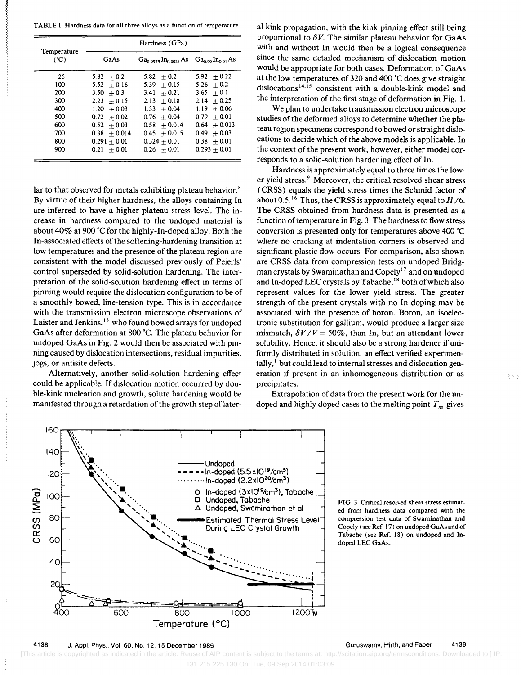TABLE L Hardness data for all three alloys as a function of temperature.

| Temperature<br>$(^{\circ}C)$ | Hardness (GPa) |                                                                   |                 |
|------------------------------|----------------|-------------------------------------------------------------------|-----------------|
|                              | GaAs           | $Ga0.9975$ In <sub>0.0025</sub> As $Ga0.99$ In <sub>0.01</sub> As |                 |
| 25                           | $5.82 + 0.2$   | 5.82<br>$+0.2$                                                    | $5.92 + 0.22$   |
| 100                          | $5.52 + 0.16$  | 5.39<br>$+0.15$                                                   | $5.26 + 0.2$    |
| 200                          | $3.50 + 0.3$   | $+0.21$<br>3.41                                                   | $3.65 + 0.1$    |
| 300                          | $2.23 + 0.15$  | $2.13 + 0.18$                                                     | $2.14 + 0.25$   |
| 400                          | $1.20 + 0.03$  | $1.33 -$<br>$+0.04$                                               | $+0.06$<br>1.19 |
| 500                          | $0.72 + 0.02$  | $+0.04$<br>0.76                                                   | $0.79 + 0.01$   |
| 600                          | $0.52 + 0.03$  | $0.58 + 0.014$                                                    | $0.64 + 0.013$  |
| 700                          | $0.38 + 0.014$ | $0.45 + 0.015$                                                    | $0.49 + 0.03$   |
| 800                          | $0.291 + 0.01$ | $0.324 + 0.01$                                                    | $0.38 + 0.01$   |
| 900                          | $0.21 + 0.01$  | $0.26 + 0.01$                                                     | $0.293 + 0.01$  |

lar to that observed for metals exhibiting plateau behavior.<sup>8</sup> By virtue of their higher hardness, the alloys containing In are inferred to have a higher plateau stress level. The increase in hardness compared to the undoped material is about 40% at 900 °C for the highly-In-doped alloy. Both the In-associated effects of the softening-hardening transition at low temperatures and the presence of the plateau region are consistent with the model discussed previously of Peierls' control superseded by solid-solution hardening. The interpretation of the solid-solution hardening effect in terms of pinning would require the dislocation configuration to be of a smoothly bowed, line-tension type. This is in accordance with the transmission electron microscope observations of Laister and Jenkins, 13 who found bowed arrays for undoped GaAs after deformation at 800 °C. The plateau behavior for undoped GaAs in Fig. 2 would then be associated with pinning caused by dislocation intersections, residual impurities, jogs, or antisite defects.

Alternatively, another solid-solution hardening effect could be applicable. If dislocation motion occurred by double-kink nucleation and growth, solute hardening would be manifested through a retardation of the growth step of later-

al kink propagation, with the kink pinning effect still being proportional to  $\delta V$ . The similar plateau behavior for GaAs with and without In would then be a logical consequence since the same detailed mechanism of dislocation motion would be appropriate for both cases. Deformation of GaAs at the low temperatures of 320 and 400 °C does give straight dislocations<sup>14,15</sup> consistent with a double-kink model and the interpretation of the first stage of deformation in Fig. 1.

We plan to undertake transmission electron microscope studies of the deformed alloys to determine whether the plateau region specimens correspond to bowed or straight dislocations to decide which of the above models is applicable. In the context of the present work, however, either model corresponds to a solid-solution hardening effect of In.

Hardness is approximately equal to three times the lower yield stress.<sup>9</sup> Moreover, the critical resolved shear stress (CRSS) equals the yield stress times the Schmid factor of about 0.5.<sup>16</sup> Thus, the CRSS is approximately equal to  $H/6$ . The CRSS obtained from hardness data is presented as a function of temperature in Fig. 3. The hardness to flow stress conversion is presented only for temperatures above 400 ·C where no cracking at indentation corners is observed and significant plastic flow occurs. For comparison, also shown are CRSS data from compression tests on undoped Bridgman crystals by Swaminathan and Copely 17 and on undoped and In-doped LEC crystals by Tabache,<sup>18</sup> both of which also represent values for the lower yield stress. The greater strength of the present crystals with no In doping may be associated with the presence of boron. Boron, an isoelectronic substitution for gallium, would produce a larger size mismatch,  $\delta V/V = 50\%$ , than In, but an attendant lower solubility. Hence, it should also be a strong hardener if uniformly distributed in solution, an effect verified experimentally,<sup>1</sup> but could lead to internal stresses and dislocation generation if present in an inhomogeneous distribution or as precipitates.

Extrapolation of data from the present work for the undoped and highly doped cases to the melting point  $T_m$  gives



FIG. 3. Critical resolved shear stress estimat· ed from hardness data compared with the compression test data of Swaminathan and CopeJy (see Ref. 17) on undoped GaAs and of Tabache (see Ref. 18) on undoped and Indoped LEC GaAs.

 [This article is copyrighted as indicated in the article. Reuse of AIP content is subject to the terms at: http://scitation.aip.org/termsconditions. Downloaded to ] IP: 131.215.225.130 On: Tue, 09 Sep 2014 01:03:09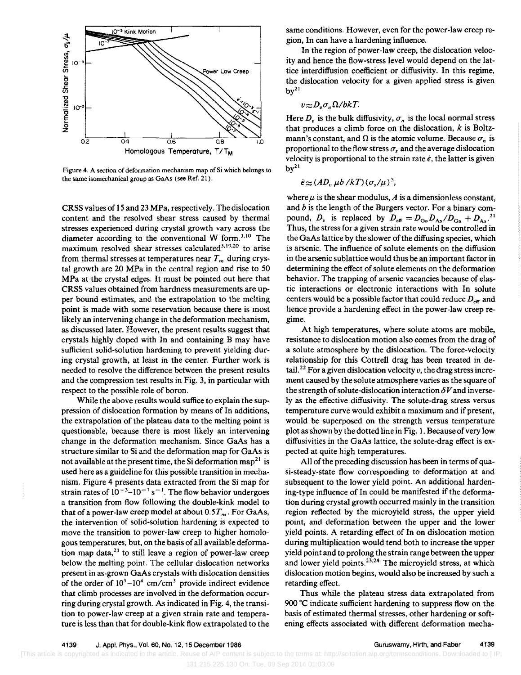

Figure 4. A section of deformation mechanism map of Si which belongs to the same isomechanical group as GaAs (see Ref. 21).

CRSS values of 15 and 23 MPa, respectively. The dislocation content and the resolved shear stress caused by thermal stresses experienced during crystal growth vary across the diameter according to the conventional W form.<sup>3,10</sup> The maximum resolved shear stresses calculated<sup>3,19,20</sup> to arise from thermal stresses at temperatures near  $T<sub>m</sub>$  during crystal growth are 20 MPa in the central region and rise to 50 MPa at the crystaJ edges. It must be pointed out here that CRSS values obtained from hardness measurements are upper bound estimates, and the extrapolation to the melting point is made with some reservation because there is most likely an intervening change in the deformation mechanism, as discussed later. However, the present results suggest that crystals highly doped with In and containing B may have sufficient solid-solution hardening to prevent yielding during crystal growth, at least in the center. Further work is needed to resolve the difference between the present results and the compression test results in Fig. 3, in particular with respect to the possible role of boron.

While the above results would suffice to explain the suppression of dislocation formation by means of In additions, the extrapolation of the plateau data to the melting point is questionable, because there is most likely an intervening change in the deformation mechanism. Since GaAs has a structure similar to Si and the deformation map for GaAs is not available at the present time, the Si deformation map<sup>21</sup> is used here as a guideline for this possible transition in mechanism. Figure 4 presents data extracted from the Si map for strain rates of  $10^{-3}$ - $10^{-7}$  s<sup>-1</sup>. The flow behavior undergoes a transition from flow following the double-kink model to. that of a power-law creep model at about  $0.5T_m$ . For GaAs, the intervention of solid-solution hardening is expected to move the transition to power-law creep to higher homologous temperatures, but, on the basis of all available deformation map data, $2<sup>1</sup>$  to still leave a region of power-law creep below the melting point. The cellular dislocation networks present in as-grown GaAs crystals with dislocation densities of the order of  $10^3$ -10<sup>4</sup> cm/cm<sup>3</sup> provide indirect evidence that climb processes are involved in the deformation occurring during crystal growth. As indicated in Fig. 4, the transition to power-law creep at a given strain rate and temperature is less than that for double-kink flow extrapolated to the

same conditions. However, even for the power-law creep region, In can have a hardening influence.

In the region of power-law creep, the dislocation velocity and hence the flow-stress level would depend on the lattice interdiffusion coefficient or diffusivity. In this regime, the dislocation velocity for a given applied stress is given  $bv<sup>21</sup>$ 

#### $v \approx D_v \sigma_u \Omega/bkT$ .

Here  $D_{\nu}$  is the bulk diffusivity,  $\sigma_{\nu}$  is the local normal stress that produces a climb force on the dislocation,  $k$  is Boltzmann's constant, and  $\Omega$  is the atomic volume. Because  $\sigma_n$  is proportional to the flow stress  $\sigma_s$  and the average dislocation velocity is proportional to the strain rate  $\dot{\epsilon}$ , the latter is given  $by<sup>21</sup>$ 

$$
\dot{\epsilon} \approx (AD_v \mu b / kT) (\sigma_s / \mu)^3,
$$

where  $\mu$  is the shear modulus, A is a dimensionless constant, and  $b$  is the length of the Burgers vector. For a binary compound,  $D_v$  is replaced by  $D_{\text{eff}} = D_{\text{Ga}} D_{\text{As}} / D_{\text{Ga}} + D_{\text{As}}^2$ .<sup>21</sup> Thus, the stress for a given strain rate would be controlled in the GaAs lattice by the slower of the diffusing species, which is arsenic. The influence of solute elements on the diffusion in the arsenic sublattice would thus be an important factor in determining the effect of solute elements on the deformation behavior. The trapping of arsenic vacancies because of elastic interactions or electronic interactions with In solute centers would be a possible factor that could reduce  $D_{\text{eff}}$  and hence provide a hardening effect in the power-law creep regime.

At high temperatures, where solute atoms are mobile, resistance to dislocation motion also comes from the drag of a solute atmosphere by the dislocation. The force-velocity relationship for this Cottrell drag has been treated in detail.<sup>22</sup> For a given dislocation velocity  $\nu$ , the drag stress increment caused by the solute atmosphere varies as the square of the strength of solute-dislocation interaction  $\delta V$  and inversely as the effective diffusivity. The solute-drag stress versus temperature curve would exhibit a maximum and if present, would be superposed on the strength versus temperature plot as shown by the dotted line in Fig. 1. Because of very low diffusivities in the GaAs lattice, the solute-drag effect is expected at quite high temperatures.

All of the preceding discussion has been in terms of quasi-steady-state flow corresponding to deformation at and subsequent to the lower yield point. An additional hardening-type influence of In could be manifested if the deformation during crystal growth occurred mainly in the transition region reflected by the microyield stress, the upper yield point, and deformation between the upper and the lower yield points. A retarding effect of In on dislocation motion. during multiplication would tend both to increase the upper yield point and to prolong the strain range between the upper and lower yield points.<sup>23,24</sup> The microyield stress, at which dislocation motion begins, would also be increased by such a retarding effect.

Thus while the plateau stress data extrapolated from 900  $\degree$ C indicate sufficient hardening to suppress flow on the basis of estimated thermal stresses, other hardening or softening effects associated with different deformation mecha